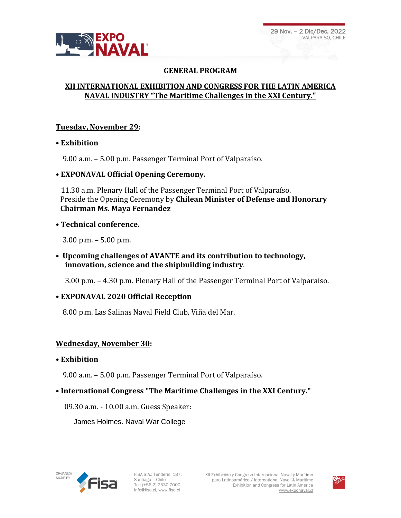

# **GENERAL PROGRAM**

# **XII INTERNATIONAL EXHIBITION AND CONGRESS FOR THE LATIN AMERICA NAVAL INDUSTRY "The Maritime Challenges in the XXI Century."**

## **Tuesday, November 29:**

### • **Exhibition**

9.00 a.m. – 5.00 p.m. Passenger Terminal Port of Valparaíso.

### **• EXPONAVAL Official Opening Ceremony.**

 11.30 a.m. Plenary Hall of the Passenger Terminal Port of Valparaíso. Preside the Opening Ceremony by **Chilean Minister of Defense and Honorary Chairman Ms. Maya Fernandez**

### • **Technical conference.**

3.00 p.m. – 5.00 p.m.

**• Upcoming challenges of AVANTE and its contribution to technology, innovation, science and the shipbuilding industry**.

3.00 p.m. – 4.30 p.m. Plenary Hall of the Passenger Terminal Port of Valparaíso.

## • **EXPONAVAL 2020 Official Reception**

8.00 p.m. Las Salinas Naval Field Club, Viña del Mar.

## **Wednesday, November 30:**

• **Exhibition**

9.00 a.m. – 5.00 p.m. Passenger Terminal Port of Valparaíso.

## • **International Congress "The Maritime Challenges in the XXI Century."**

09.30 a.m. - 10.00 a.m. Guess Speaker:

James Holmes. Naval War College